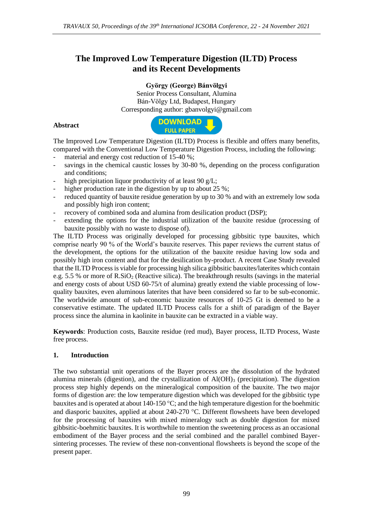# **The Improved Low Temperature Digestion (ILTD) Process and its Recent Developments**

**György (George) Bánvölgyi**

Senior Process Consultant, Alumina Bán-Völgy Ltd, Budapest, Hungary Corresponding author: gbanvolgyi@gmail.com

## **Abstract**



The Improved Low Temperature Digestion (ILTD) Process is flexible and offers many benefits, compared with the Conventional Low Temperature Digestion Process, including the following:

- material and energy cost reduction of  $15-40\%$ ;
- savings in the chemical caustic losses by 30-80 %, depending on the process configuration and conditions;
- high precipitation liquor productivity of at least 90  $g/L$ ;
- higher production rate in the digestion by up to about 25 %;
- reduced quantity of bauxite residue generation by up to 30 % and with an extremely low soda and possibly high iron content;
- recovery of combined soda and alumina from desilication product (DSP);
- extending the options for the industrial utilization of the bauxite residue (processing of bauxite possibly with no waste to dispose of).

The ILTD Process was originally developed for processing gibbsitic type bauxites, which comprise nearly 90 % of the World's bauxite reserves. This paper reviews the current status of the development, the options for the utilization of the bauxite residue having low soda and possibly high iron content and that for the desilication by-product. A recent Case Study revealed that the ILTD Process is viable for processing high silica gibbsitic bauxites/laterites which contain e.g. 5.5 % or more of  $R.SiO<sub>2</sub>$  (Reactive silica). The breakthrough results (savings in the material and energy costs of about USD 60-75/t of alumina) greatly extend the viable processing of lowquality bauxites, even aluminous laterites that have been considered so far to be sub-economic. The worldwide amount of sub-economic bauxite resources of 10-25 Gt is deemed to be a conservative estimate. The updated ILTD Process calls for a shift of paradigm of the Bayer process since the alumina in kaolinite in bauxite can be extracted in a viable way.

**Keywords**: Production costs, Bauxite residue (red mud), Bayer process, ILTD Process, Waste free process.

## **1. Introduction**

The two substantial unit operations of the Bayer process are the dissolution of the hydrated alumina minerals (digestion), and the crystallization of  $Al(OH)_{3}$  (precipitation). The digestion process step highly depends on the mineralogical composition of the bauxite. The two major forms of digestion are: the low temperature digestion which was developed for the gibbsitic type bauxites and is operated at about 140-150  $\degree$ C; and the high temperature digestion for the boehmitic and diasporic bauxites, applied at about  $240-270$  °C. Different flowsheets have been developed for the processing of bauxites with mixed mineralogy such as double digestion for mixed gibbsitic-boehmitic bauxites. It is worthwhile to mention the sweetening process as an occasional embodiment of the Bayer process and the serial combined and the parallel combined Bayersintering processes. The review of these non-conventional flowsheets is beyond the scope of the present paper.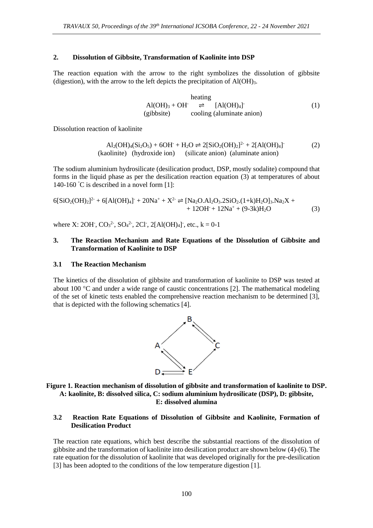#### **2. Dissolution of Gibbsite, Transformation of Kaolinite into DSP**

The reaction equation with the arrow to the right symbolizes the dissolution of gibbsite (digestion), with the arrow to the left depicts the precipitation of  $Al(OH)_{3}$ .

heating  
\nAl(OH)<sub>3</sub> + OH<sup>-</sup> 
$$
\rightleftharpoons
$$
 [Al(OH)<sub>4</sub>]<sup>-</sup> (1)  
\n(gibbsite) cooling (aluminate anion)

Dissolution reaction of kaolinite

 $\text{Al}_2(\text{OH})_4(\text{Si}_2\text{O}_5) + 6\text{OH}^+ + \text{H}_2\text{O} \rightleftharpoons 2[\text{SiO}_2(\text{OH})_2]^2 + 2[\text{Al}(\text{OH})_4]$ (2) (kaolinite) (hydroxide ion) (silicate anion) (aluminate anion)

The sodium aluminium hydrosilicate (desilication product, DSP, mostly sodalite) compound that forms in the liquid phase as per the desilication reaction equation (3) at temperatures of about 140-160 °C is described in a novel form [1]:

$$
6[SiO2(OH)2]2 + 6[A(OH)4] + 20Na+ + X2 \rightleftharpoons [Na2O.A1O3.2SiO2(1+k)H2O3.Na2X ++ 12OH + 12Na+ + (9-3k)H2O
$$
 (3)

where X: 2OH,  $CO_3^2$ ,  $SO_4^2$ , 2Cl, 2[Al(OH)<sub>4</sub>], etc., k = 0-1

#### **3. The Reaction Mechanism and Rate Equations of the Dissolution of Gibbsite and Transformation of Kaolinite to DSP**

#### **3.1 The Reaction Mechanism**

The kinetics of the dissolution of gibbsite and transformation of kaolinite to DSP was tested at about 100  $\degree$ C and under a wide range of caustic concentrations [2]. The mathematical modeling of the set of kinetic tests enabled the comprehensive reaction mechanism to be determined [3], that is depicted with the following schematics [4].



**Figure 1. Reaction mechanism of dissolution of gibbsite and transformation of kaolinite to DSP. A: kaolinite, B: dissolved silica, C: sodium aluminium hydrosilicate (DSP), D: gibbsite, E: dissolved alumina**

### **3.2 Reaction Rate Equations of Dissolution of Gibbsite and Kaolinite, Formation of Desilication Product**

The reaction rate equations, which best describe the substantial reactions of the dissolution of gibbsite and the transformation of kaolinite into desilication product are shown below (4)-(6). The rate equation for the dissolution of kaolinite that was developed originally for the pre-desilication [3] has been adopted to the conditions of the low temperature digestion [1].